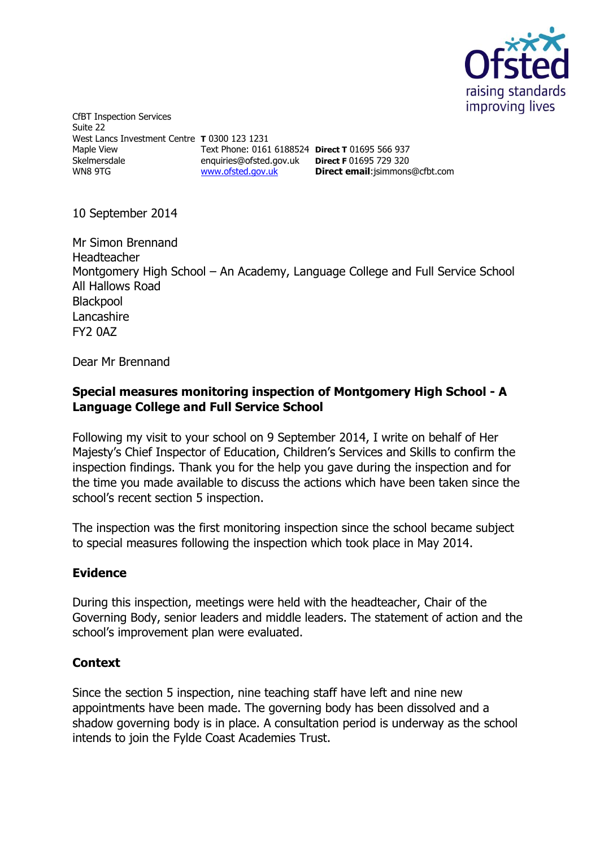

CfBT Inspection Services Suite 22 West Lancs Investment Centre **T** 0300 123 1231 Maple View Skelmersdale WN8 9TG Text Phone: 0161 6188524 **Direct T** 01695 566 937 enquiries@ofsted.gov.uk **Direct F** 01695 729 320 [www.ofsted.gov.uk](http://www.ofsted.gov.uk/)

**Direct email**:jsimmons@cfbt.com

10 September 2014

Mr Simon Brennand Headteacher Montgomery High School – An Academy, Language College and Full Service School All Hallows Road **Blackpool** Lancashire FY2 0AZ

Dear Mr Brennand

### **Special measures monitoring inspection of Montgomery High School - A Language College and Full Service School**

Following my visit to your school on 9 September 2014, I write on behalf of Her Majesty's Chief Inspector of Education, Children's Services and Skills to confirm the inspection findings. Thank you for the help you gave during the inspection and for the time you made available to discuss the actions which have been taken since the school's recent section 5 inspection.

The inspection was the first monitoring inspection since the school became subject to special measures following the inspection which took place in May 2014.

# **Evidence**

During this inspection, meetings were held with the headteacher, Chair of the Governing Body, senior leaders and middle leaders. The statement of action and the school's improvement plan were evaluated.

# **Context**

Since the section 5 inspection, nine teaching staff have left and nine new appointments have been made. The governing body has been dissolved and a shadow governing body is in place. A consultation period is underway as the school intends to join the Fylde Coast Academies Trust.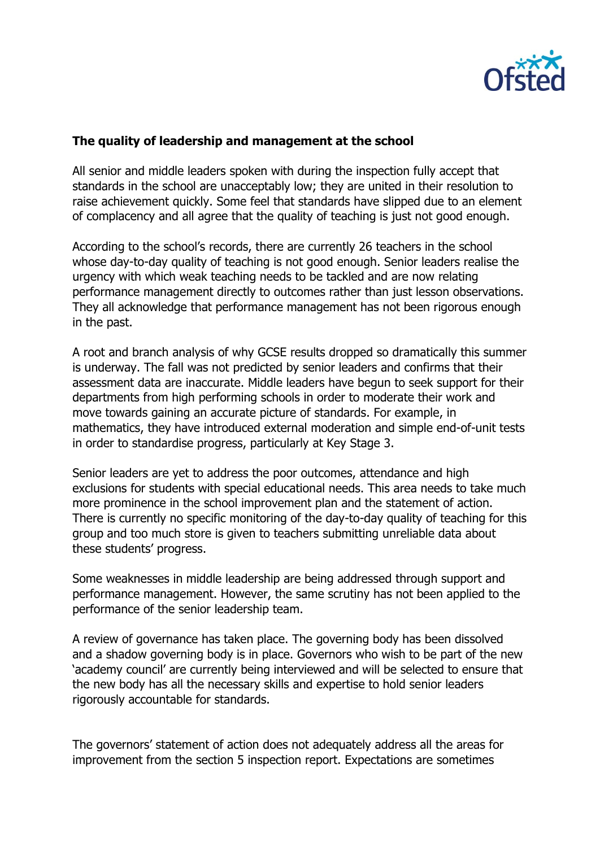

#### **The quality of leadership and management at the school**

All senior and middle leaders spoken with during the inspection fully accept that standards in the school are unacceptably low; they are united in their resolution to raise achievement quickly. Some feel that standards have slipped due to an element of complacency and all agree that the quality of teaching is just not good enough.

According to the school's records, there are currently 26 teachers in the school whose day-to-day quality of teaching is not good enough. Senior leaders realise the urgency with which weak teaching needs to be tackled and are now relating performance management directly to outcomes rather than just lesson observations. They all acknowledge that performance management has not been rigorous enough in the past.

A root and branch analysis of why GCSE results dropped so dramatically this summer is underway. The fall was not predicted by senior leaders and confirms that their assessment data are inaccurate. Middle leaders have begun to seek support for their departments from high performing schools in order to moderate their work and move towards gaining an accurate picture of standards. For example, in mathematics, they have introduced external moderation and simple end-of-unit tests in order to standardise progress, particularly at Key Stage 3.

Senior leaders are yet to address the poor outcomes, attendance and high exclusions for students with special educational needs. This area needs to take much more prominence in the school improvement plan and the statement of action. There is currently no specific monitoring of the day-to-day quality of teaching for this group and too much store is given to teachers submitting unreliable data about these students' progress.

Some weaknesses in middle leadership are being addressed through support and performance management. However, the same scrutiny has not been applied to the performance of the senior leadership team.

A review of governance has taken place. The governing body has been dissolved and a shadow governing body is in place. Governors who wish to be part of the new 'academy council' are currently being interviewed and will be selected to ensure that the new body has all the necessary skills and expertise to hold senior leaders rigorously accountable for standards.

The governors' statement of action does not adequately address all the areas for improvement from the section 5 inspection report. Expectations are sometimes